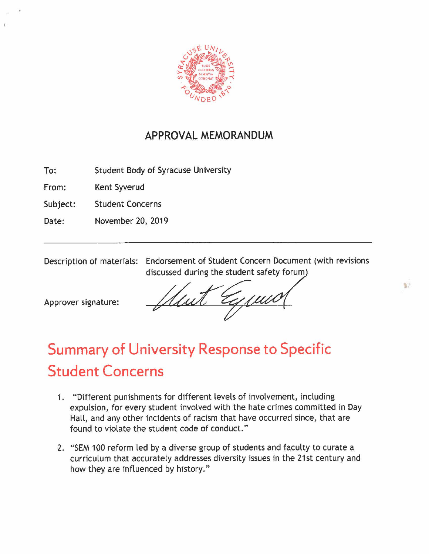

## **APPROVAL MEMORANDUM**

To: Student Body of Syracuse University

From: Kent Syverud

Subject: Student Concerns

Date: November 20, 2019

Description of materials: Endorsement of Student Concern Document (with revisions discussed during the student safety forum

Approver signature:

复计

## **Summary of University Response to Specific Student Concerns**

- 1. "Different punishments for different levels of involvement, including expulsion, for every student involved with the hate crimes committed in Day Hall, and any other incidents of racism that have occurred since, that are found to violate the student code of conduct."
- 2. "SEM 100 reform led by a diverse group of students and faculty to curate a curriculum that accurately addresses diversity issues in the 21st century and how they are influenced by history."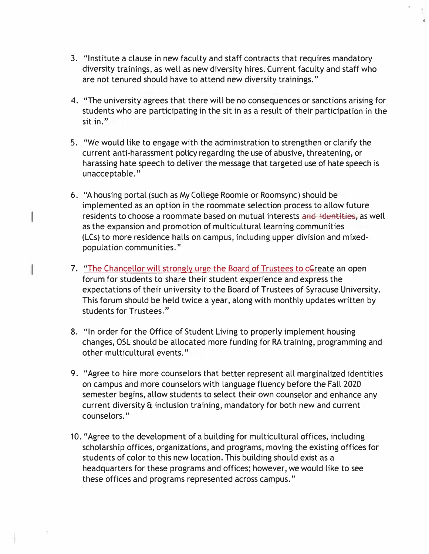3. "Institute a clause in new faculty and staff contracts that requires mandatory diversity trainings, as well as new diversity hires. Current faculty and staff who are not tenured should have to attend new diversity trainings."

..

- 4. "The university agrees that there will be no consequences or sanctions arising for students who are participating in the sit in as a result of their participation in the sit in."
- 5. "We would like to engage with the administration to strengthen or clarify the current anti-harassment policy regarding the use of abusive, threatening, or harassing hate speech to deliver the message that targeted use of hate speech is unacceptable."
- 6. "A housing portal (such as My College Roomie or Roomsync) should be implemented as an option in the roommate selection process to allow future residents to choose a roommate based on mutual interests and identities, as well as the expansion and promotion of multicultural learning communities (LCs) to more residence halls on campus, including upper division and mixedpopulation communities."
- 7. "The Chancellor will strongly urge the Board of Trustees to cGreate an open forum for students to share their student experience and express the expectations of their university to the Board of Trustees of Syracuse University. This forum should be held twice a year, along with monthly updates written by students for Trustees."
- 8. "In order for the Office of Student Living to properly implement housing changes, OSL should be allocated more funding for RA training, programming and other multicultural events."
- 9. "Agree to hire more counselors that better represent all marginalized identities on campus and more counselors with language fluency before the Fall 2020 semester begins, allow students to select their own counselor and enhance any current diversity & inclusion training, mandatory for both new and current counselors."
- 10. "Agree to the development of a building for multicultural offices, including scholarship offices, organizations, and programs, moving the existing offices for students of color to this new location. This building should exist as a headquarters for these programs and offices; however, we would like to see these offices and programs represented across campus."